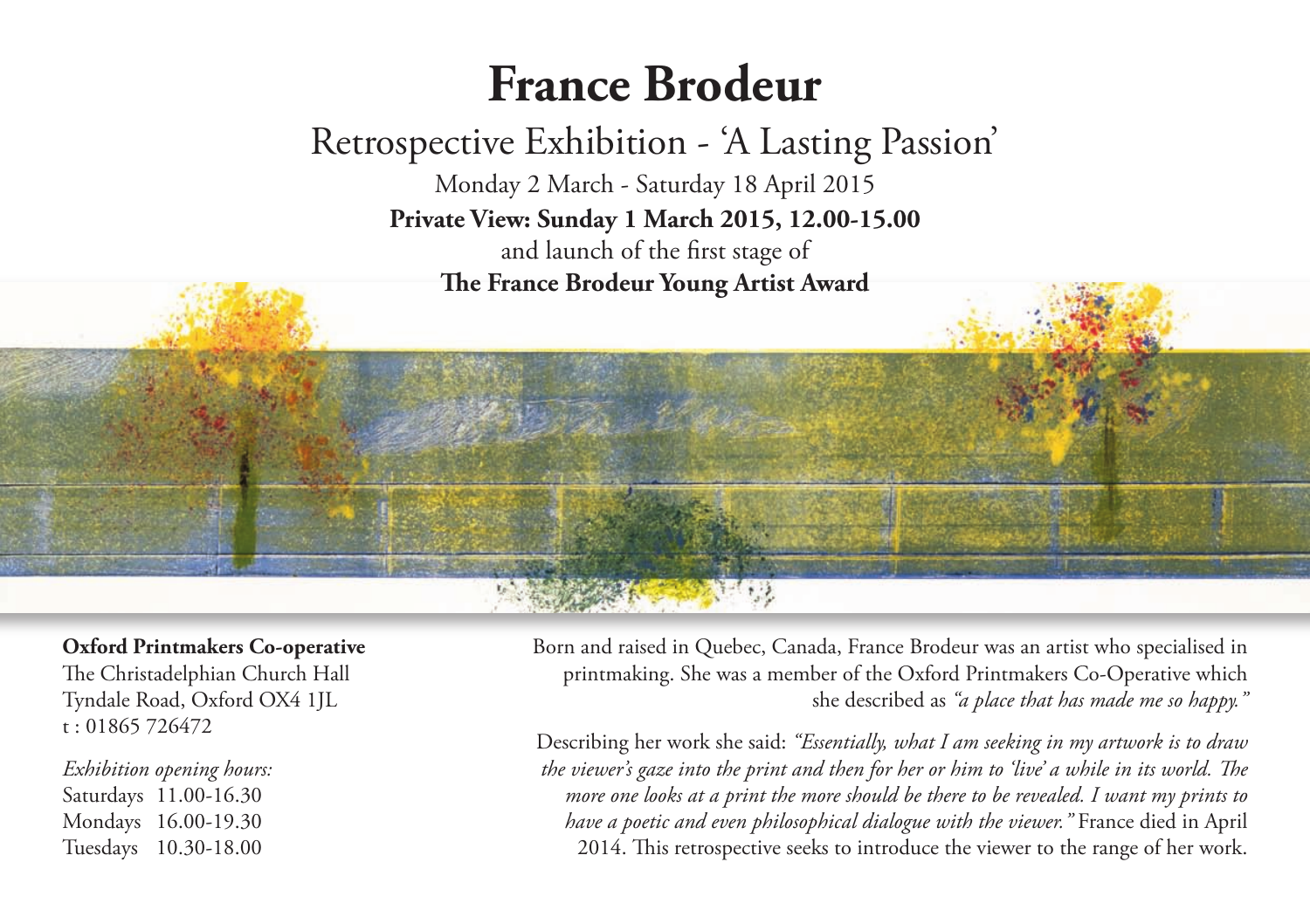## **France Brodeur**

## Retrospective Exhibition - 'A Lasting Passion'

Monday 2 March - Saturday 18 April 2015 **Private View: Sunday 1 March 2015, 12.00-15.00** and launch of the first stage of **e France Brodeur Young Artist Award**

**Oxford Printmakers Co-operative** The Christadelphian Church Hall Tyndale Road, Oxford OX4 1JL t : 01865 726472

*Exhibition opening hours:* Saturdays 11.00-16.30 Mondays 16.00-19.30 Tuesdays 10.30-18.00

Born and raised in Quebec, Canada, France Brodeur was an artist who specialised in printmaking. She was a member of the Oxford Printmakers Co-Operative which she described as *"a place that has made me so happy."*

Describing her work she said: *"Essentially, what I am seeking in my artwork is to draw* the viewer's gaze into the print and then for her or him to 'live' a while in its world. The *more one looks at a print the more should be there to be revealed. I want my prints to have a poetic and even philosophical dialogue with the viewer."* France died in April 2014. This retrospective seeks to introduce the viewer to the range of her work.